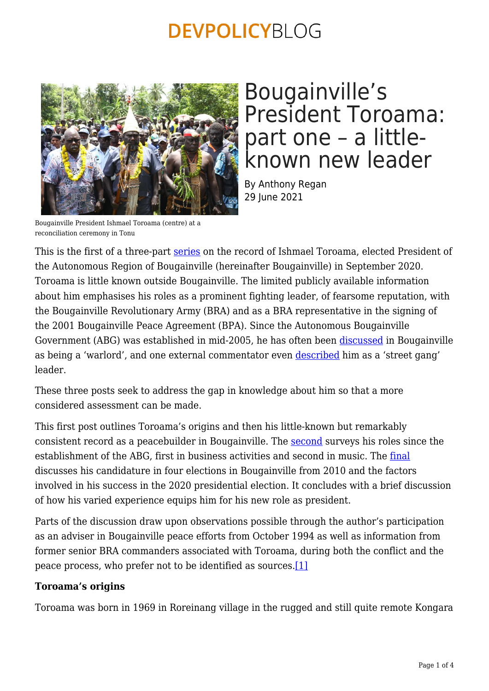

## Bougainville's President Toroama: part one – a littleknown new leader

By Anthony Regan 29 June 2021

Bougainville President Ishmael Toroama (centre) at a reconciliation ceremony in Tonu

This is the first of a three-part [series](https://devpolicy.org/tag/ishmael-toroama/) on the record of Ishmael Toroama, elected President of the Autonomous Region of Bougainville (hereinafter Bougainville) in September 2020. Toroama is little known outside Bougainville. The limited publicly available information about him emphasises his roles as a prominent fighting leader, of fearsome reputation, with the Bougainville Revolutionary Army (BRA) and as a BRA representative in the signing of the 2001 Bougainville Peace Agreement (BPA). Since the Autonomous Bougainville Government (ABG) was established in mid-2005, he has often been [discussed](https://asopa.typepad.com/asopa_people/2012/02/bougainville-warlords-seek-to-divide-rule-prosper.html) in Bougainville as being a 'warlord', and one external commentator even [described](https://www.researchgate.net/publication/283423235_The_Gangs_of_Bougainville_Seven_Men_Guns_and_a_Copper_Mine#fullTextFileContent) him as a 'street gang' leader.

These three posts seek to address the gap in knowledge about him so that a more considered assessment can be made.

This first post outlines Toroama's origins and then his little-known but remarkably consistent record as a peacebuilder in Bougainville. The [second](https://devpolicy.org/bougainvilles-president-toroama-part-two-business-and-music-activities-20210629) surveys his roles since the establishment of the ABG, first in business activities and second in music. The [final](https://devpolicy.org/bougainvilles-president-toroama-part-three-a-candidate-in-four-elections-2010-20-20210629/) discusses his candidature in four elections in Bougainville from 2010 and the factors involved in his success in the 2020 presidential election. It concludes with a brief discussion of how his varied experience equips him for his new role as president.

Parts of the discussion draw upon observations possible through the author's participation as an adviser in Bougainville peace efforts from October 1994 as well as information from former senior BRA commanders associated with Toroama, during both the conflict and the peace process, who prefer not to be identified as sources[.\[1\]](#page-3-0)

## <span id="page-0-0"></span>**Toroama's origins**

Toroama was born in 1969 in Roreinang village in the rugged and still quite remote Kongara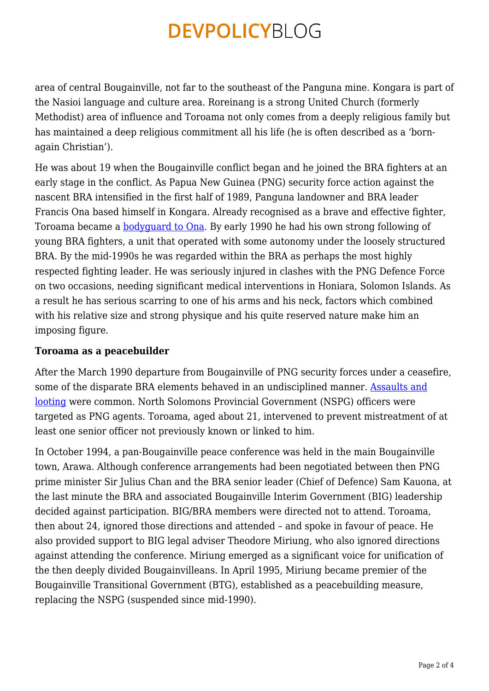area of central Bougainville, not far to the southeast of the Panguna mine. Kongara is part of the Nasioi language and culture area. Roreinang is a strong United Church (formerly Methodist) area of influence and Toroama not only comes from a deeply religious family but has maintained a deep religious commitment all his life (he is often described as a 'bornagain Christian').

He was about 19 when the Bougainville conflict began and he joined the BRA fighters at an early stage in the conflict. As Papua New Guinea (PNG) security force action against the nascent BRA intensified in the first half of 1989, Panguna landowner and BRA leader Francis Ona based himself in Kongara. Already recognised as a brave and effective fighter, Toroama became a [bodyguard to Ona.](https://www.looppng.com/everyday-people/everyday-people-png-ishmael-toroama-95235) By early 1990 he had his own strong following of young BRA fighters, a unit that operated with some autonomy under the loosely structured BRA. By the mid-1990s he was regarded within the BRA as perhaps the most highly respected fighting leader. He was seriously injured in clashes with the PNG Defence Force on two occasions, needing significant medical interventions in Honiara, Solomon Islands. As a result he has serious scarring to one of his arms and his neck, factors which combined with his relative size and strong physique and his quite reserved nature make him an imposing figure.

## **Toroama as a peacebuilder**

After the March 1990 departure from Bougainville of PNG security forces under a ceasefire, some of the disparate BRA elements behaved in an undisciplined manner. [Assaults and](http://press-files.anu.edu.au/downloads/press/n3901/pdf/ch12.pdf) [looting](http://press-files.anu.edu.au/downloads/press/n3901/pdf/ch12.pdf) were common. North Solomons Provincial Government (NSPG) officers were targeted as PNG agents. Toroama, aged about 21, intervened to prevent mistreatment of at least one senior officer not previously known or linked to him.

In October 1994, a pan-Bougainville peace conference was held in the main Bougainville town, Arawa. Although conference arrangements had been negotiated between then PNG prime minister Sir Julius Chan and the BRA senior leader (Chief of Defence) Sam Kauona, at the last minute the BRA and associated Bougainville Interim Government (BIG) leadership decided against participation. BIG/BRA members were directed not to attend. Toroama, then about 24, ignored those directions and attended – and spoke in favour of peace. He also provided support to BIG legal adviser Theodore Miriung, who also ignored directions against attending the conference. Miriung emerged as a significant voice for unification of the then deeply divided Bougainvilleans. In April 1995, Miriung became premier of the Bougainville Transitional Government (BTG), established as a peacebuilding measure, replacing the NSPG (suspended since mid-1990).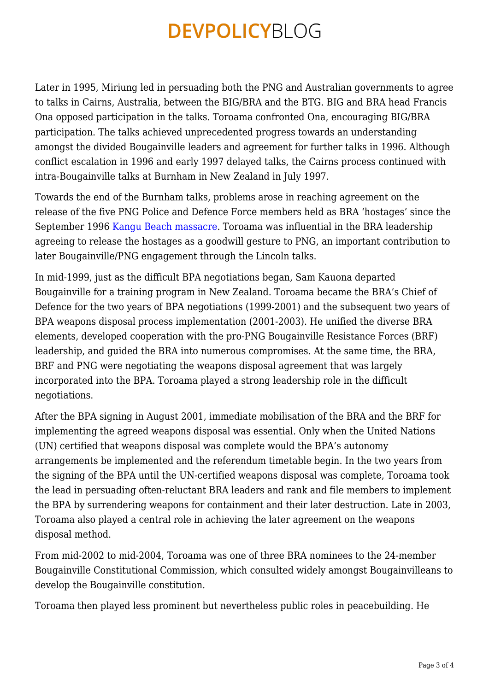Later in 1995, Miriung led in persuading both the PNG and Australian governments to agree to talks in Cairns, Australia, between the BIG/BRA and the BTG. BIG and BRA head Francis Ona opposed participation in the talks. Toroama confronted Ona, encouraging BIG/BRA participation. The talks achieved unprecedented progress towards an understanding amongst the divided Bougainville leaders and agreement for further talks in 1996. Although conflict escalation in 1996 and early 1997 delayed talks, the Cairns process continued with intra-Bougainville talks at Burnham in New Zealand in July 1997.

Towards the end of the Burnham talks, problems arose in reaching agreement on the release of the five PNG Police and Defence Force members held as BRA 'hostages' since the September 1996 [Kangu Beach massacre.](https://press-files.anu.edu.au/downloads/press/p57571/pdf/book.pdf) Toroama was influential in the BRA leadership agreeing to release the hostages as a goodwill gesture to PNG, an important contribution to later Bougainville/PNG engagement through the Lincoln talks.

In mid-1999, just as the difficult BPA negotiations began, Sam Kauona departed Bougainville for a training program in New Zealand. Toroama became the BRA's Chief of Defence for the two years of BPA negotiations (1999-2001) and the subsequent two years of BPA weapons disposal process implementation (2001-2003). He unified the diverse BRA elements, developed cooperation with the pro-PNG Bougainville Resistance Forces (BRF) leadership, and guided the BRA into numerous compromises. At the same time, the BRA, BRF and PNG were negotiating the weapons disposal agreement that was largely incorporated into the BPA. Toroama played a strong leadership role in the difficult negotiations.

After the BPA signing in August 2001, immediate mobilisation of the BRA and the BRF for implementing the agreed weapons disposal was essential. Only when the United Nations (UN) certified that weapons disposal was complete would the BPA's autonomy arrangements be implemented and the referendum timetable begin. In the two years from the signing of the BPA until the UN-certified weapons disposal was complete, Toroama took the lead in persuading often-reluctant BRA leaders and rank and file members to implement the BPA by surrendering weapons for containment and their later destruction. Late in 2003, Toroama also played a central role in achieving the later agreement on the weapons disposal method.

From mid-2002 to mid-2004, Toroama was one of three BRA nominees to the 24-member Bougainville Constitutional Commission, which consulted widely amongst Bougainvilleans to develop the Bougainville constitution.

Toroama then played less prominent but nevertheless public roles in peacebuilding. He